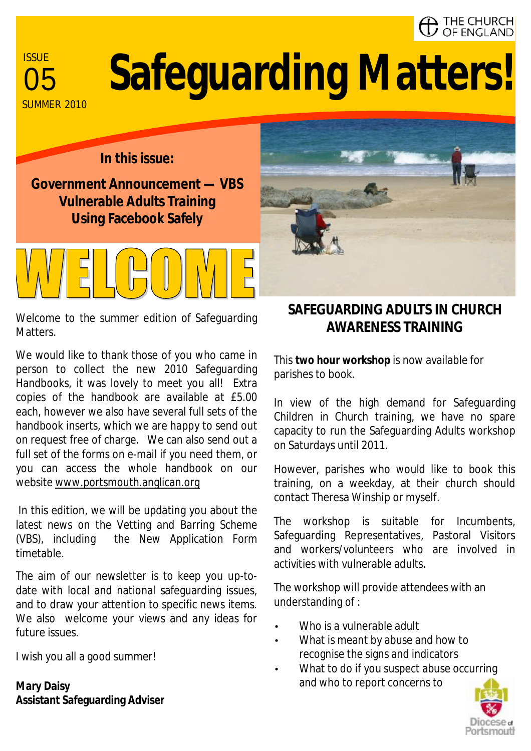# $\lambda$  THE CHURCH<br>/ OF ENGLAND

**ISSUE** SUMMER 2010

# **Safeguarding Matters!**

### **In this issue:**

**Government Announcement — VBS Vulnerable Adults Training Using Facebook Safely** 



Welcome to the summer edition of Safeguarding Matters.

We would like to thank those of you who came in person to collect the new 2010 Safeguarding Handbooks, it was lovely to meet you all! Extra copies of the handbook are available at £5.00 each, however we also have several full sets of the handbook inserts, which we are happy to send out on request free of charge. We can also send out a full set of the forms on e-mail if you need them, or you can access the whole handbook on our website [www.portsmouth.anglican.org](http://www.portsmouth.anglican.org)

In this edition, we will be updating you about the latest news on the Vetting and Barring Scheme (VBS), including the New Application Form timetable.

The aim of our newsletter is to keep you up-todate with local and national safeguarding issues, and to draw your attention to specific news items. We also welcome your views and any ideas for future issues.

I wish you all a good summer!

**Mary Daisy Assistant Safeguarding Adviser**

# **SAFEGUARDING ADULTS IN CHURCH AWARENESS TRAINING**

This **two hour workshop** is now available for parishes to book.

In view of the high demand for Safeguarding Children in Church training, we have no spare capacity to run the Safeguarding Adults workshop on Saturdays until 2011.

However, parishes who would like to book this training, on a weekday, at their church should contact Theresa Winship or myself.

The workshop is suitable for Incumbents, Safeguarding Representatives, Pastoral Visitors and workers/volunteers who are involved in activities with vulnerable adults.

The workshop will provide attendees with an understanding of :

- Who is a vulnerable adult
- What is meant by abuse and how to recognise the signs and indicators
- What to do if you suspect abuse occurring and who to report concerns to

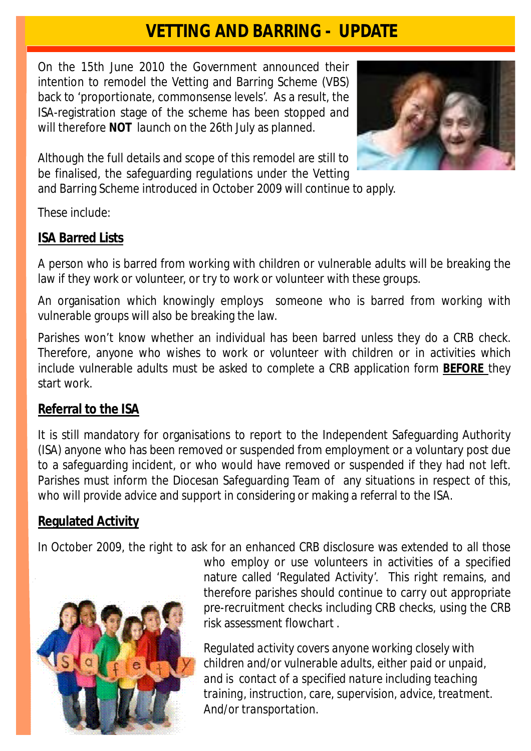# **VETTING AND BARRING - UPDATE**

On the 15th June 2010 the Government announced their intention to remodel the Vetting and Barring Scheme (VBS) back to 'proportionate, commonsense levels'. As a result, the ISA-registration stage of the scheme has been stopped and will therefore **NOT** launch on the 26th July as planned.



Although the full details and scope of this remodel are still to be finalised, the safeguarding regulations under the Vetting

and Barring Scheme introduced in October 2009 will continue to apply.

These include:

# **ISA Barred Lists**

A person who is barred from working with children or vulnerable adults will be breaking the law if they work or volunteer, or try to work or volunteer with these groups.

An organisation which knowingly employs someone who is barred from working with vulnerable groups will also be breaking the law.

Parishes won't know whether an individual has been barred unless they do a CRB check. Therefore, anyone who wishes to work or volunteer with children or in activities which include vulnerable adults must be asked to complete a CRB application form **BEFORE** they start work.

# **Referral to the ISA**

It is still mandatory for organisations to report to the Independent Safeguarding Authority (ISA) anyone who has been removed or suspended from employment or a voluntary post due to a safeguarding incident, or who would have removed or suspended if they had not left. Parishes must inform the Diocesan Safeguarding Team of any situations in respect of this, who will provide advice and support in considering or making a referral to the ISA.

# **Regulated Activity**

In October 2009, the right to ask for an enhanced CRB disclosure was extended to all those



who employ or use volunteers in activities of a specified nature called 'Regulated Activity'. This right remains, and therefore parishes should continue to carry out appropriate pre-recruitment checks including CRB checks, using the CRB risk assessment flowchart .

*Regulated activity covers anyone working closely with children and/or vulnerable adults, either paid or unpaid, and is contact of a specified nature including teaching training, instruction, care, supervision, advice, treatment. And/or transportation*.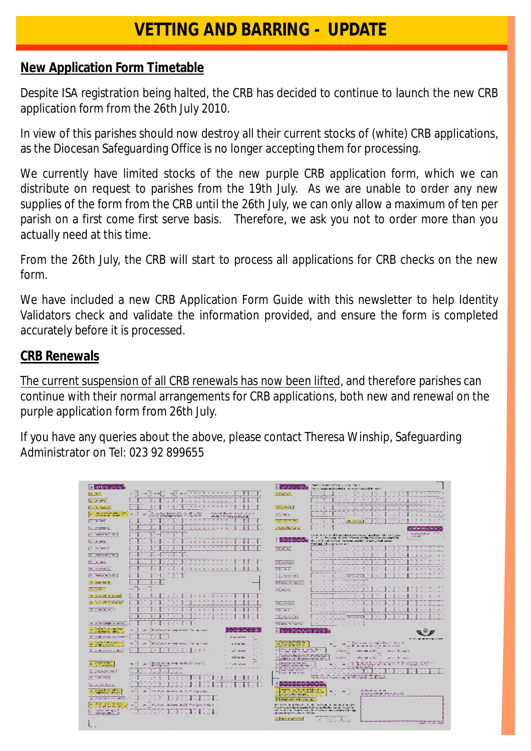# **VETTING AND BARRING - UPDATE**

#### **New Application Form Timetable**

Despite ISA registration being halted, the CRB has decided to continue to launch the new CRB application form from the 26th July 2010.

In view of this parishes should now destroy all their current stocks of (white) CRB applications, as the Diocesan Safeguarding Office is no longer accepting them for processing.

We currently have limited stocks of the new purple CRB application form, which we can distribute on request to parishes from the 19th July. As we are unable to order any new supplies of the form from the CRB until the 26th July, we can only allow a maximum of ten per parish on a first come first serve basis. Therefore, we ask you not to order more than you actually need at this time.

From the 26th July, the CRB will start to process all applications for CRB checks on the new form.

We have included a new CRB Application Form Guide with this newsletter to help Identity Validators check and validate the information provided, and ensure the form is completed accurately before it is processed.

#### **CRB Renewals**

The current suspension of all CRB renewals has now been lifted, and therefore parishes can continue with their normal arrangements for CRB applications, both new and renewal on the purple application form from 26th July.

If you have any queries about the above, please contact Theresa Winship, Safeguarding Administrator on Tel: 023 92 899655

| la servizione e                                                                                       |                                                                                                                                                                                         | ь<br>campagny solo                                                                                                                                                                                                                     | Plates of the Black Ruff mail of a modifying<br>FIRE REAL ALEXANDER SURFACE AND ARE                                                                                                                                                                                                  |
|-------------------------------------------------------------------------------------------------------|-----------------------------------------------------------------------------------------------------------------------------------------------------------------------------------------|----------------------------------------------------------------------------------------------------------------------------------------------------------------------------------------------------------------------------------------|--------------------------------------------------------------------------------------------------------------------------------------------------------------------------------------------------------------------------------------------------------------------------------------|
| 图像                                                                                                    | <b>William Branch and The Branch</b><br>ه م<br>y 69<br>$-0.5$                                                                                                                           | <b>Reference</b>                                                                                                                                                                                                                       | 1332833<br>u.                                                                                                                                                                                                                                                                        |
| <b>Service Company</b>                                                                                | a Se<br>.<br><b>B. K.</b><br>Œ.                                                                                                                                                         |                                                                                                                                                                                                                                        | <b>IN</b><br><b>SP</b>                                                                                                                                                                                                                                                               |
| 医多种病毒                                                                                                 | <b>B 4 5 4 3 F</b><br>情報書                                                                                                                                                               | <b>Britannia</b>                                                                                                                                                                                                                       | 78                                                                                                                                                                                                                                                                                   |
| new pulsations cover<br>browledge start in                                                            | se provincia del control del control del control.<br>20 de de al la comprendence del control de al c<br>Laurenthouse Fachinesse,<br><b>DO</b><br>a.<br>should interest should detect an | arlines.                                                                                                                                                                                                                               | <b>R. D. R. P.</b><br><b>B</b>                                                                                                                                                                                                                                                       |
| <b>PERSONAL PROPERTY</b>                                                                              | 11 8 3 3 3 4 5 6 7 8 9 8                                                                                                                                                                | 18 性の注意                                                                                                                                                                                                                                | - 1<br><b>ISBN 9787</b><br><b>Contract Contract</b>                                                                                                                                                                                                                                  |
| <b>Call of Security</b>                                                                               | 3 . 3 . 3 . 3 . 3 . 3 . 3 . 3                                                                                                                                                           | a telephone of                                                                                                                                                                                                                         | perpressed beer, applied to                                                                                                                                                                                                                                                          |
| <b>PET TANK MEMBER</b>                                                                                |                                                                                                                                                                                         |                                                                                                                                                                                                                                        | - Break School IV 2014<br>Your allegade that may be a serious an interdent independent<br><b>LARGER</b><br>2011<br>To call of the same in the bost-second administration of contacts.                                                                                                |
| $N = 2$ -refers:                                                                                      | $\mathbb{R}^n$<br>28.29<br>æ                                                                                                                                                            | <b>C</b> statisticists <sup>o</sup>                                                                                                                                                                                                    | the about rust overgreat figenteen, anglish a financialment power<br>Peringt site in the second                                                                                                                                                                                      |
| pa akawan                                                                                             |                                                                                                                                                                                         | THE SPIEL                                                                                                                                                                                                                              | 187878<br>$\mathcal{M} = 0$                                                                                                                                                                                                                                                          |
| LC (date loan) (De)                                                                                   | 11.00                                                                                                                                                                                   |                                                                                                                                                                                                                                        | <b>B.L.N.Y</b><br>п<br><b>B</b> 60                                                                                                                                                                                                                                                   |
| Ph. Subard                                                                                            | 5 Y Y<br>TERRITTI                                                                                                                                                                       | <b>Diffeometra</b>                                                                                                                                                                                                                     |                                                                                                                                                                                                                                                                                      |
| FIS A RADY 3                                                                                          | *********<br>ж                                                                                                                                                                          | <b>ROS Windows</b>                                                                                                                                                                                                                     | <b>R</b> 1<br>Æ                                                                                                                                                                                                                                                                      |
| [B] dates from indic-                                                                                 |                                                                                                                                                                                         | it is await                                                                                                                                                                                                                            | APP HALFS.                                                                                                                                                                                                                                                                           |
| <b>Weerling</b>                                                                                       |                                                                                                                                                                                         | <b>BRING &amp; SERVICE</b>                                                                                                                                                                                                             | $\mathcal{L}_\mathrm{c}$<br>- 2<br>a solit<br><b>ALC</b>                                                                                                                                                                                                                             |
| <b>TELEVISION</b>                                                                                     | was "Thurs                                                                                                                                                                              | <b>Tiles to</b>                                                                                                                                                                                                                        | 40.14                                                                                                                                                                                                                                                                                |
| 16 p.m. St of at at                                                                                   | $\sim 1$<br>外交进口<br>n.<br>41-41-41<br>30, 59, 58<br>第一条 钟 精<br>m.                                                                                                                       |                                                                                                                                                                                                                                        | $\mathbf{B}$<br>n.<br><b>B</b> A                                                                                                                                                                                                                                                     |
| <b>THE SEARCH CONTROL</b>                                                                             | a les<br><b>William Street</b>                                                                                                                                                          | STRONG                                                                                                                                                                                                                                 |                                                                                                                                                                                                                                                                                      |
| <b>B FREE R.T</b>                                                                                     | 进步<br>图 图<br>at ter                                                                                                                                                                     | 福岡家区へ                                                                                                                                                                                                                                  | B.                                                                                                                                                                                                                                                                                   |
|                                                                                                       | 小田氏真田植物                                                                                                                                                                                 | <b>STANDAR</b>                                                                                                                                                                                                                         | <b>Richard</b><br>ie alla a                                                                                                                                                                                                                                                          |
| In the meeting of the fact<br><b>Contractor of State</b>                                              | $\mathbf{E}$ .<br>If you get a likely imported the three speciality                                                                                                                     | 海中高 産業(高)                                                                                                                                                                                                                              | a Tar<br>D. 10<br><b>ALC A 24</b>                                                                                                                                                                                                                                                    |
| ×.<br><b>STANDARD RATES IN 1979</b><br><b>MARK REGISTER</b>                                           | <b>Let renew being or sider</b><br>÷.<br>ಳ ವೀರ್ಣಿಕರ                                                                                                                                     | <b>C REPORT SERVICES</b>                                                                                                                                                                                                               |                                                                                                                                                                                                                                                                                      |
| Service Program and Control<br>en daya merupakan<br>Bid Minuran Cirini                                | siya k<br>Thing's purchasing or will find an outside<br>m.<br>of the Real                                                                                                               | <b>MEDIANORS</b>                                                                                                                                                                                                                       | addition that usings reling turn-care<br><sup>86</sup> . Their volume of to relate diffusion declared<br><b>STATISTIC</b><br><b>Cold</b>                                                                                                                                             |
| 2012/08/2012 Poster Dr 2013                                                                           | ٠.<br>$2 + 5 + 1$<br>a<br>and members                                                                                                                                                   | <b>SING THE TELL</b><br><b>Programating Program</b> Tech-<br>带                                                                                                                                                                         | and all the second board free and seconds.<br><b>Silling and Charles</b><br>industrials adults<br>mar Willard                                                                                                                                                                        |
|                                                                                                       | المنابع<br>dealers for<br>e Sa                                                                                                                                                          | u.<br>the Control of the Control of the Control of the Control of the Control of the Control of the Control of the C<br>The product of the Control of the Control of the Control of the Control of the Control of the Control of the C | <b>GREAT ART BANK</b><br>المتحلية الأ<br><b>SPECIAL Service</b>                                                                                                                                                                                                                      |
| <b>Capt Long</b><br>Since Separate<br>W.                                                              | .<br>Manazi yan musika wapinta waki ajiki ganazi 21.<br>Manazi ya kutoka<br><b>Controlled</b><br>e s<br><b>SM</b>                                                                       | to high contains and                                                                                                                                                                                                                   | shortganger in the process linet for the Lorenter Catalice (1997).<br>Talket to be plant after the director brack constituting in but<br>'n<br>ak.                                                                                                                                   |
| ç,<br>September 1                                                                                     |                                                                                                                                                                                         | <b>Documents</b> models<br>g,                                                                                                                                                                                                          | بأميه وبعيبه                                                                                                                                                                                                                                                                         |
| <b>B. Agencie</b>                                                                                     |                                                                                                                                                                                         |                                                                                                                                                                                                                                        | Vom group ou skou na svou da linguis general anter anter personal.<br>Internazione Australia mente degli dia 1788 del 1789 fabricani di una contro                                                                                                                                   |
| وسيوان والهوائد وزرا                                                                                  |                                                                                                                                                                                         | decastor by the factor of<br>īe.                                                                                                                                                                                                       |                                                                                                                                                                                                                                                                                      |
| stop to a more.<br>Tags that surest<br>亂                                                              | 1) 19, 31 etc. alsolarity of Ltd. Provincia inc.<br>試り                                                                                                                                  | lane volume te prima volume)<br>1961 – Aleman volume esterioria<br>2004 runda: Insantas                                                                                                                                                | 電子<br><b>Profession of the Control</b><br>please generation can be used that                                                                                                                                                                                                         |
| all Processor considerati                                                                             |                                                                                                                                                                                         | <b>By Brand Great arms halls</b>                                                                                                                                                                                                       |                                                                                                                                                                                                                                                                                      |
| <b>Services &amp; British</b><br>ved right out the Sunder<br>contact her right<br>G.<br>Scribngs date | 15 Holdings machines await, Worksetzerplank<br><b>Indu</b><br><b>CO</b><br>湖                                                                                                            | at the string where the definitions                                                                                                                                                                                                    | Brithing strates in it. B. water is at determining<br>tradition profession assigned of the qualitation success the first and the first state of the first state of the first state of the first state of the first state of the first state of the first state of the first state of |
|                                                                                                       |                                                                                                                                                                                         | Science Patrician                                                                                                                                                                                                                      | <b>ADA ADALIAN</b>                                                                                                                                                                                                                                                                   |